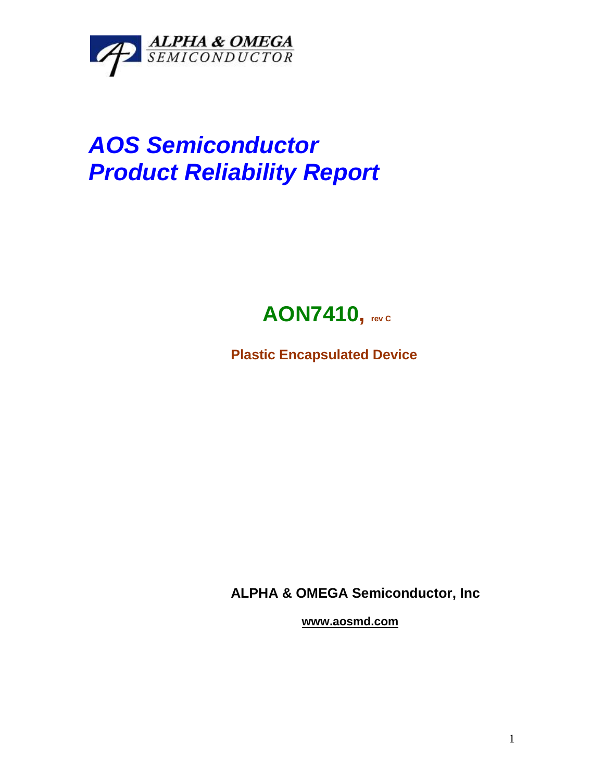

# *AOS Semiconductor Product Reliability Report*



**Plastic Encapsulated Device**

**ALPHA & OMEGA Semiconductor, Inc**

**www.aosmd.com**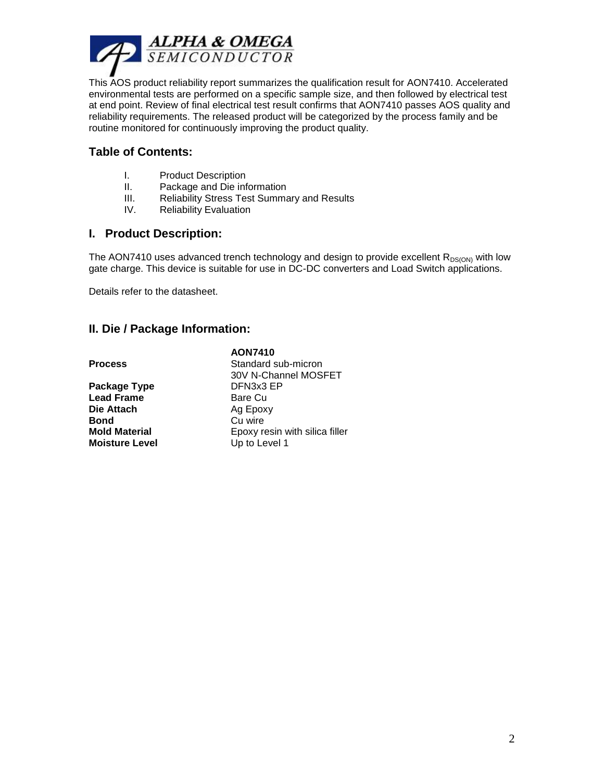

This AOS product reliability report summarizes the qualification result for AON7410. Accelerated environmental tests are performed on a specific sample size, and then followed by electrical test at end point. Review of final electrical test result confirms that AON7410 passes AOS quality and reliability requirements. The released product will be categorized by the process family and be routine monitored for continuously improving the product quality.

# **Table of Contents:**

- I. Product Description
- II. Package and Die information
- III. Reliability Stress Test Summary and Results
- IV. Reliability Evaluation

#### **I. Product Description:**

The AON7410 uses advanced trench technology and design to provide excellent  $R_{DS(ON)}$  with low gate charge. This device is suitable for use in DC-DC converters and Load Switch applications.

Details refer to the datasheet.

# **II. Die / Package Information:**

|                       | <b>AON7410</b>                 |
|-----------------------|--------------------------------|
| Process               | Standard sub-micron            |
|                       | 30V N-Channel MOSFET           |
| Package Type          | DFN3x3 EP                      |
| <b>Lead Frame</b>     | Bare Cu                        |
| Die Attach            | Ag Epoxy                       |
| Bond                  | Cu wire                        |
| Mold Material         | Epoxy resin with silica filler |
| <b>Moisture Level</b> | Up to Level 1                  |
|                       |                                |